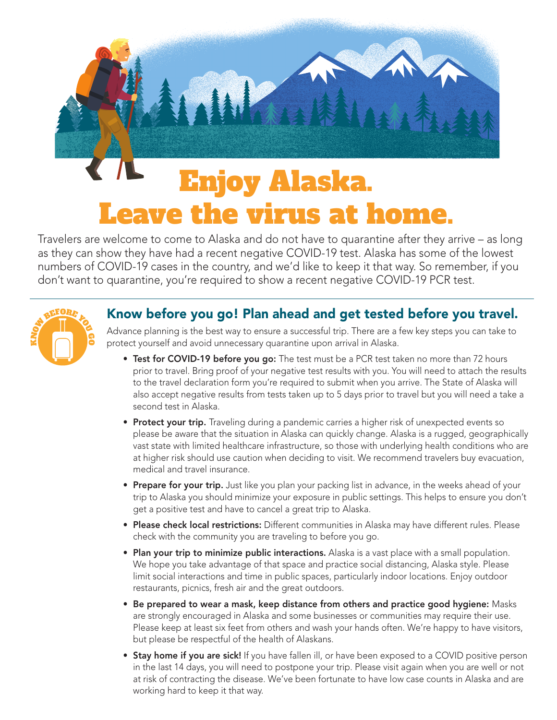

Travelers are welcome to come to Alaska and do not have to quarantine after they arrive – as long as they can show they have had a recent negative COVID-19 test. Alaska has some of the lowest numbers of COVID-19 cases in the country, and we'd like to keep it that way. So remember, if you don't want to quarantine, you're required to show a recent negative COVID-19 PCR test.



## Know before you go! Plan ahead and get tested before you travel.

Advance planning is the best way to ensure a successful trip. There are a few key steps you can take to protect yourself and avoid unnecessary quarantine upon arrival in Alaska.

- Test for COVID-19 before you go: The test must be a PCR test taken no more than 72 hours prior to travel. Bring proof of your negative test results with you. You will need to attach the results to the travel declaration form you're required to submit when you arrive. The State of Alaska will also accept negative results from tests taken up to 5 days prior to travel but you will need a take a second test in Alaska.
- Protect your trip. Traveling during a pandemic carries a higher risk of unexpected events so please be aware that the situation in Alaska can quickly change. Alaska is a rugged, geographically vast state with limited healthcare infrastructure, so those with underlying health conditions who are at higher risk should use caution when deciding to visit. We recommend travelers buy evacuation, medical and travel insurance.
- Prepare for your trip. Just like you plan your packing list in advance, in the weeks ahead of your trip to Alaska you should minimize your exposure in public settings. This helps to ensure you don't get a positive test and have to cancel a great trip to Alaska.
- Please check local restrictions: Different communities in Alaska may have different rules. Please check with the community you are traveling to before you go.
- Plan your trip to minimize public interactions. Alaska is a vast place with a small population. We hope you take advantage of that space and practice social distancing, Alaska style. Please limit social interactions and time in public spaces, particularly indoor locations. Enjoy outdoor restaurants, picnics, fresh air and the great outdoors.
- Be prepared to wear a mask, keep distance from others and practice good hygiene: Masks are strongly encouraged in Alaska and some businesses or communities may require their use. Please keep at least six feet from others and wash your hands often. We're happy to have visitors, but please be respectful of the health of Alaskans.
- Stay home if you are sick! If you have fallen ill, or have been exposed to a COVID positive person in the last 14 days, you will need to postpone your trip. Please visit again when you are well or not at risk of contracting the disease. We've been fortunate to have low case counts in Alaska and are working hard to keep it that way.